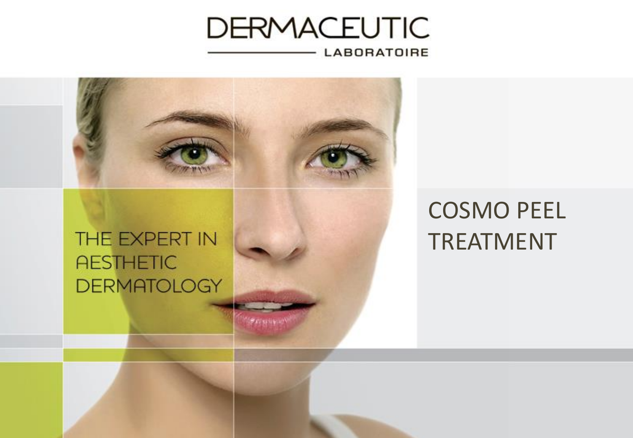

1 The Expert in Aesthetic Dermatology in Aesthetic Dermatology in Aesthetic Dermatology in Aesthetic Dermatolog

**PAUSERNAM** 



## THE EXPERT IN **AESTHETIC DERMATOLOGY**

## COSMO PEEL TREATMENT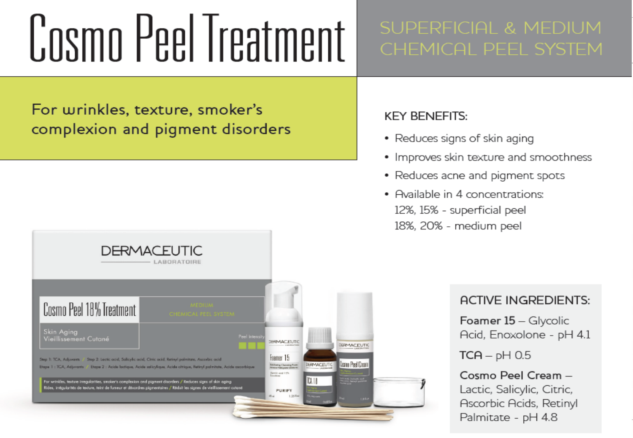# Cosmo Peel Ireatment

## SUPERFICIAL & MEDIUM **CHEMICAL PEEL SYSTEM**

### For wrinkles, texture, smoker's complexion and pigment disorders

#### **KEY BENEFITS:**

- Reduces signs of skin aging
- Improves skin texture and smoothness
- Reduces acne and pigment spots
- Available in 4 concentrations: 12%, 15% - superficial peel 18%, 20% - medium peel



#### **ACTIVE INGREDIENTS:**

Foamer 15 - Glycolic Acid, Enoxolone - pH 4.1

 $TCA - pH 0.5$ 

Cosmo Peel Cream -Lactic, Salicylic, Citric, **Ascorbic Acids, Retinyl** Palmitate - pH 4.8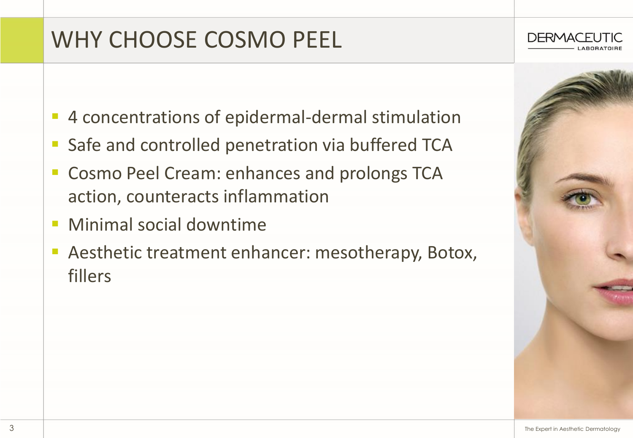## WHY CHOOSE COSMO PEEL

- 4 concentrations of epidermal-dermal stimulation
- Safe and controlled penetration via buffered TCA
- Cosmo Peel Cream: enhances and prolongs TCA action, counteracts inflammation
- **E** Minimal social downtime
- Aesthetic treatment enhancer: mesotherapy, Botox, fillers



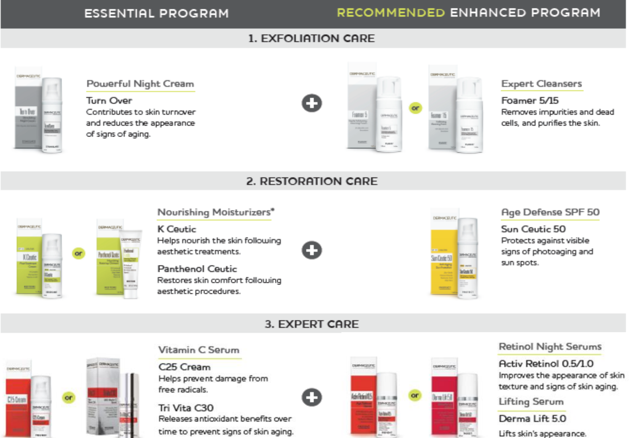#### **ESSENTIAL PROGRAM**

#### RECOMMENDED ENHANCED PROGRAM

#### 1. EXEOLIATION CARE



#### Powerful Night Cream

Turn Over Contributes to skin turnover and reduces the appearance of signs of aging.



**Expert Cleansers** 

Foamer 5/15 Removes impurities and dead cells, and purifies the skin.

#### 2. RESTORATION CARE



#### Nourishing Moisturizers\*

K Ceutic. Helps nourish the skin following aesthetic treatments.

Panthenol Ceutic Restores skin comfort following aesthetic procedures.

| DEMAND FOR                                                                                                                                 |                                                                                                                          |
|--------------------------------------------------------------------------------------------------------------------------------------------|--------------------------------------------------------------------------------------------------------------------------|
| <b>SPEED BANK</b><br>hé 51<br>Smi<br>2010<br>m<br><b>British</b><br><b>Services</b> Rd<br><b>LEGISTRIC</b><br><b>STORY</b><br><b>COLOR</b> | <b>WHOLES</b><br><b>STATISTICS</b><br><b>COLOR</b><br>$\cdots$<br><b>SECTION</b><br><b>House</b><br><b>HEATERS</b><br>a. |

Age Defense SPF 50

Sun Ceutic 50 Protects against visible signs of photoaging and sun spots.

#### 3. EXPERT CARE



#### Vitamin C Serum

C<sub>25</sub> Cream Helps prevent damage from free radicals.

Tri Vita C30 Releases antioxidant benefits over time to prevent signs of skin aging.



#### **Retinol Night Serums**

**Activ Retinol 0.5/1.0** Improves the appearance of skin texture and signs of skin aging.

**Lifting Serum** 

Derma Lift 5.0

Lifts skin's appearance.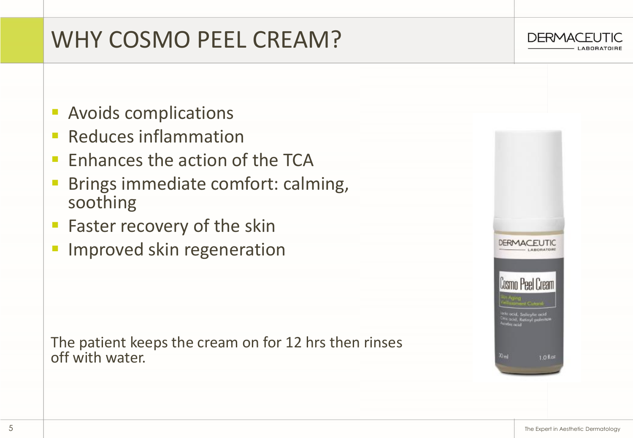## WHY COSMO PEEL CREAM?



- **Reduces inflammation**
- Enhances the action of the TCA
- Brings immediate comfort: calming, soothing
- **EXECOVER FASTER FASTER** Faster recovery of the skin
- **· Improved skin regeneration**

The patient keeps the cream on for 12 hrs then rinses off with water.



**DERMACEUTIC**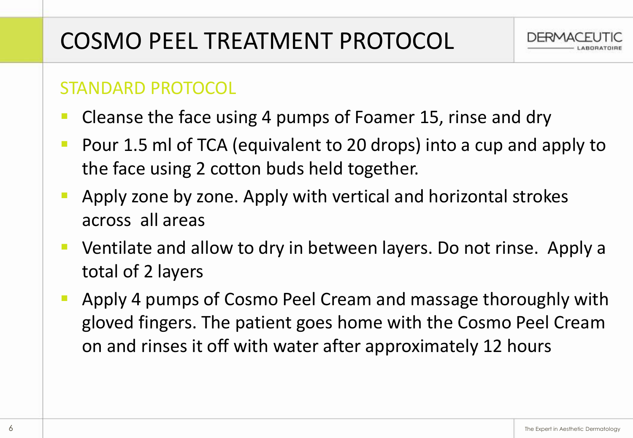

### STANDARD PROTOCOL

- Cleanse the face using 4 pumps of Foamer 15, rinse and dry
- Pour 1.5 ml of TCA (equivalent to 20 drops) into a cup and apply to the face using 2 cotton buds held together.
- Apply zone by zone. Apply with vertical and horizontal strokes across all areas
- Ventilate and allow to dry in between layers. Do not rinse. Apply a total of 2 layers
- Apply 4 pumps of Cosmo Peel Cream and massage thoroughly with gloved fingers. The patient goes home with the Cosmo Peel Cream on and rinses it off with water after approximately 12 hours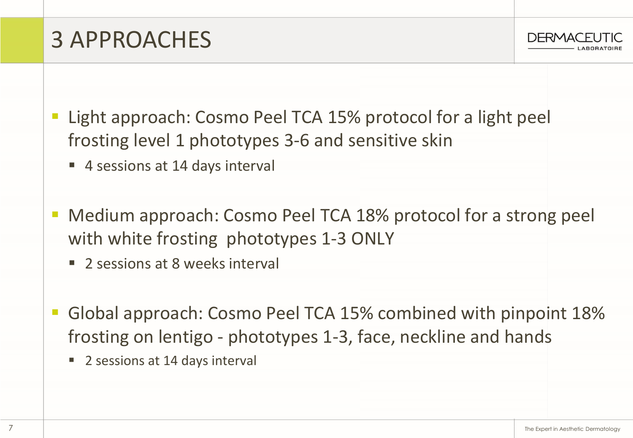**DERMACE** 

## 3 APPROACHES

- Light approach: Cosmo Peel TCA 15% protocol for a light peel frosting level 1 phototypes 3-6 and sensitive skin
	- 4 sessions at 14 days interval
- Medium approach: Cosmo Peel TCA 18% protocol for a strong peel with white frosting phototypes 1-3 ONLY
	- 2 sessions at 8 weeks interval
- Global approach: Cosmo Peel TCA 15% combined with pinpoint 18% frosting on lentigo - phototypes 1-3, face, neckline and hands
	- 2 sessions at 14 days interval